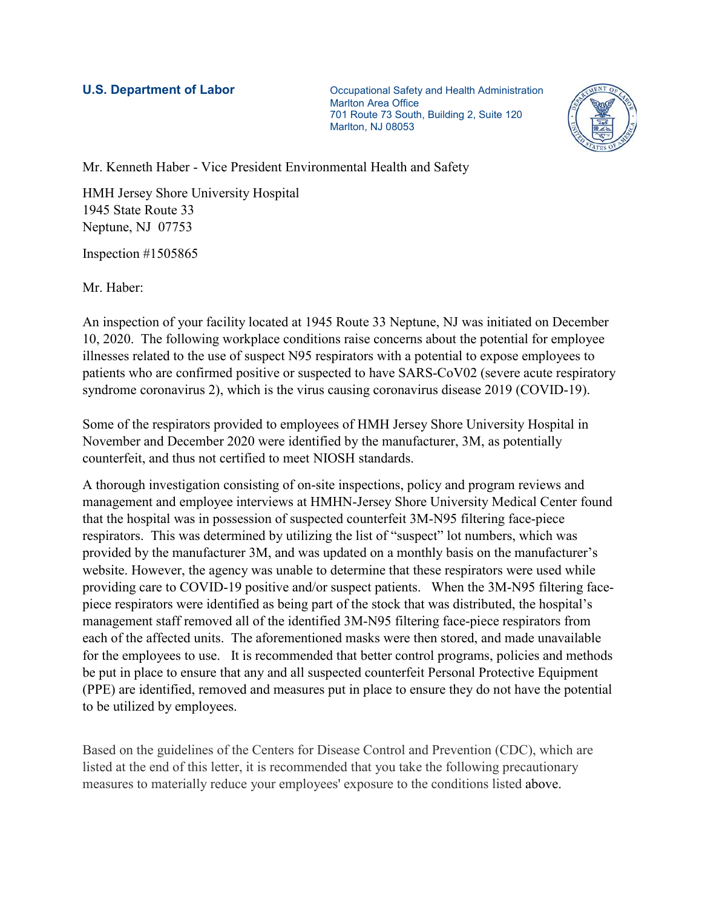**U.S. Department of Labor Communistry Communistration** Occupational Safety and Health Administration Marlton Area Office 701 Route 73 South, Building 2, Suite 120 Marlton, NJ 08053



Mr. Kenneth Haber - Vice President Environmental Health and Safety

HMH Jersey Shore University Hospital 1945 State Route 33 Neptune, NJ 07753

Inspection #1505865

Mr. Haber:

An inspection of your facility located at 1945 Route 33 Neptune, NJ was initiated on December 10, 2020. The following workplace conditions raise concerns about the potential for employee illnesses related to the use of suspect N95 respirators with a potential to expose employees to patients who are confirmed positive or suspected to have SARS-CoV02 (severe acute respiratory syndrome coronavirus 2), which is the virus causing coronavirus disease 2019 (COVID-19).

Some of the respirators provided to employees of HMH Jersey Shore University Hospital in November and December 2020 were identified by the manufacturer, 3M, as potentially counterfeit, and thus not certified to meet NIOSH standards.

A thorough investigation consisting of on-site inspections, policy and program reviews and management and employee interviews at HMHN-Jersey Shore University Medical Center found that the hospital was in possession of suspected counterfeit 3M-N95 filtering face-piece respirators. This was determined by utilizing the list of "suspect" lot numbers, which was provided by the manufacturer 3M, and was updated on a monthly basis on the manufacturer's website. However, the agency was unable to determine that these respirators were used while providing care to COVID-19 positive and/or suspect patients. When the 3M-N95 filtering facepiece respirators were identified as being part of the stock that was distributed, the hospital's management staff removed all of the identified 3M-N95 filtering face-piece respirators from each of the affected units. The aforementioned masks were then stored, and made unavailable for the employees to use. It is recommended that better control programs, policies and methods be put in place to ensure that any and all suspected counterfeit Personal Protective Equipment (PPE) are identified, removed and measures put in place to ensure they do not have the potential to be utilized by employees.

Based on the guidelines of the Centers for Disease Control and Prevention (CDC), which are listed at the end of this letter, it is recommended that you take the following precautionary measures to materially reduce your employees' exposure to the conditions listed above.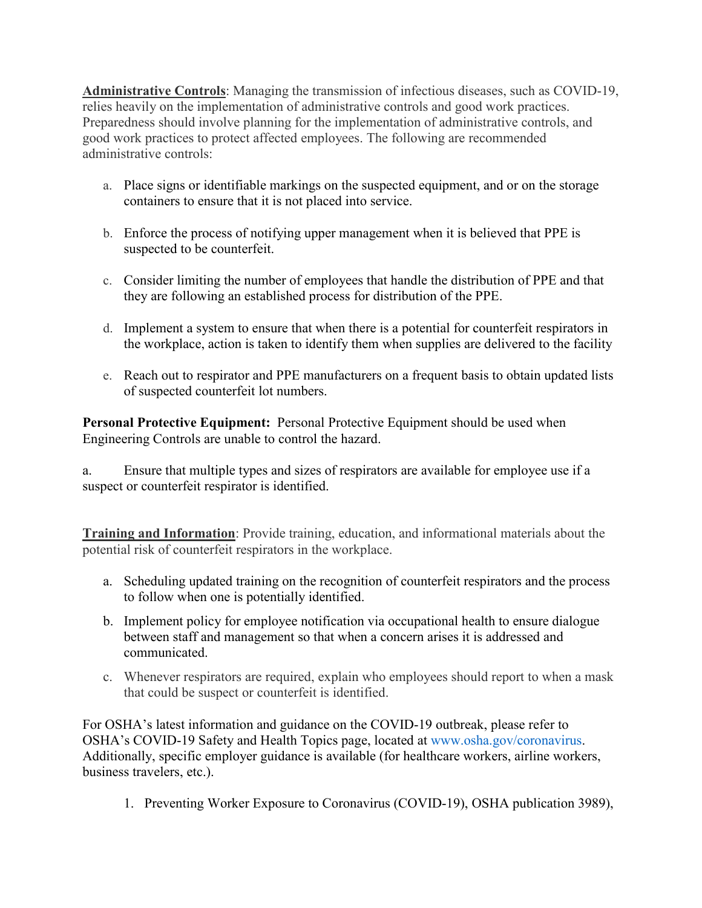**Administrative Controls**: Managing the transmission of infectious diseases, such as COVID-19, relies heavily on the implementation of administrative controls and good work practices. Preparedness should involve planning for the implementation of administrative controls, and good work practices to protect affected employees. The following are recommended administrative controls:

- a. Place signs or identifiable markings on the suspected equipment, and or on the storage containers to ensure that it is not placed into service.
- b. Enforce the process of notifying upper management when it is believed that PPE is suspected to be counterfeit.
- c. Consider limiting the number of employees that handle the distribution of PPE and that they are following an established process for distribution of the PPE.
- d. Implement a system to ensure that when there is a potential for counterfeit respirators in the workplace, action is taken to identify them when supplies are delivered to the facility
- e. Reach out to respirator and PPE manufacturers on a frequent basis to obtain updated lists of suspected counterfeit lot numbers.

**Personal Protective Equipment:** Personal Protective Equipment should be used when Engineering Controls are unable to control the hazard.

a. Ensure that multiple types and sizes of respirators are available for employee use if a suspect or counterfeit respirator is identified.

**Training and Information**: Provide training, education, and informational materials about the potential risk of counterfeit respirators in the workplace.

- a. Scheduling updated training on the recognition of counterfeit respirators and the process to follow when one is potentially identified.
- b. Implement policy for employee notification via occupational health to ensure dialogue between staff and management so that when a concern arises it is addressed and communicated.
- c. Whenever respirators are required, explain who employees should report to when a mask that could be suspect or counterfeit is identified.

For OSHA's latest information and guidance on the COVID-19 outbreak, please refer to OSHA's COVID-19 Safety and Health Topics page, located at www.osha.gov/coronavirus. Additionally, specific employer guidance is available (for healthcare workers, airline workers, business travelers, etc.).

1. Preventing Worker Exposure to Coronavirus (COVID-19), OSHA publication 3989),